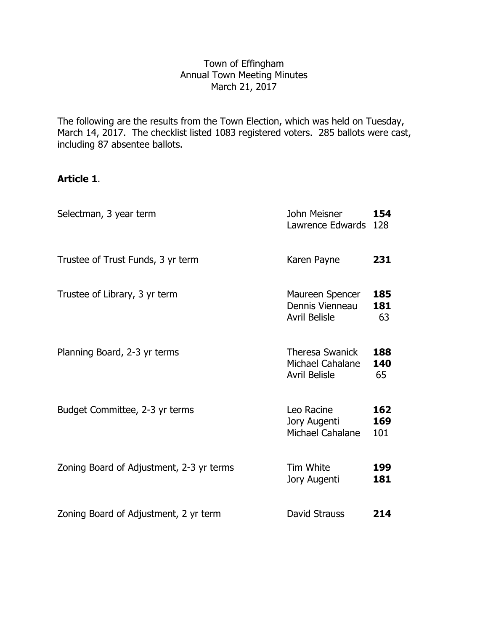# Town of Effingham Annual Town Meeting Minutes March 21, 2017

The following are the results from the Town Election, which was held on Tuesday, March 14, 2017. The checklist listed 1083 registered voters. 285 ballots were cast, including 87 absentee ballots.

# **Article 1**.

| Selectman, 3 year term                   | John Meisner<br>Lawrence Edwards                                   | 154<br>128        |
|------------------------------------------|--------------------------------------------------------------------|-------------------|
| Trustee of Trust Funds, 3 yr term        | Karen Payne                                                        | 231               |
| Trustee of Library, 3 yr term            | Maureen Spencer<br>Dennis Vienneau<br><b>Avril Belisle</b>         | 185<br>181<br>63  |
| Planning Board, 2-3 yr terms             | <b>Theresa Swanick</b><br>Michael Cahalane<br><b>Avril Belisle</b> | 188<br>140<br>65  |
| Budget Committee, 2-3 yr terms           | Leo Racine<br>Jory Augenti<br>Michael Cahalane                     | 162<br>169<br>101 |
| Zoning Board of Adjustment, 2-3 yr terms | Tim White<br>Jory Augenti                                          | 199<br>181        |
| Zoning Board of Adjustment, 2 yr term    | David Strauss                                                      | 214               |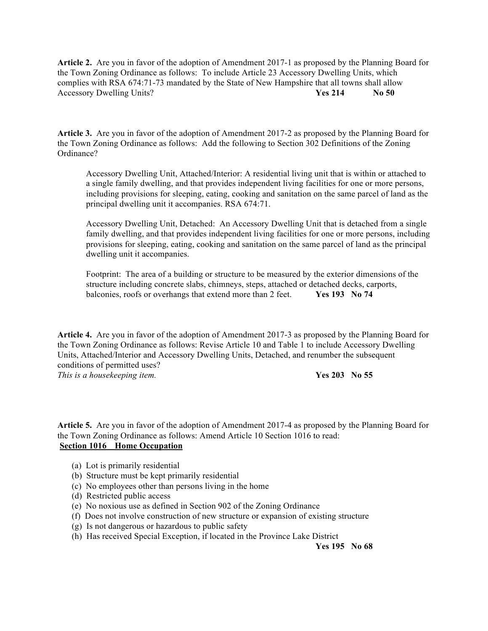**Article 2.** Are you in favor of the adoption of Amendment 2017-1 as proposed by the Planning Board for the Town Zoning Ordinance as follows: To include Article 23 Accessory Dwelling Units, which complies with RSA 674:71-73 mandated by the State of New Hampshire that all towns shall allow Accessory Dwelling Units? **Yes 214 No 50**

**Article 3.** Are you in favor of the adoption of Amendment 2017-2 as proposed by the Planning Board for the Town Zoning Ordinance as follows: Add the following to Section 302 Definitions of the Zoning Ordinance?

Accessory Dwelling Unit, Attached/Interior: A residential living unit that is within or attached to a single family dwelling, and that provides independent living facilities for one or more persons, including provisions for sleeping, eating, cooking and sanitation on the same parcel of land as the principal dwelling unit it accompanies. RSA 674:71.

Accessory Dwelling Unit, Detached: An Accessory Dwelling Unit that is detached from a single family dwelling, and that provides independent living facilities for one or more persons, including provisions for sleeping, eating, cooking and sanitation on the same parcel of land as the principal dwelling unit it accompanies.

Footprint: The area of a building or structure to be measured by the exterior dimensions of the structure including concrete slabs, chimneys, steps, attached or detached decks, carports, balconies, roofs or overhangs that extend more than 2 feet. **Yes 193 No 74**

**Article 4.** Are you in favor of the adoption of Amendment 2017-3 as proposed by the Planning Board for the Town Zoning Ordinance as follows: Revise Article 10 and Table 1 to include Accessory Dwelling Units, Attached/Interior and Accessory Dwelling Units, Detached, and renumber the subsequent conditions of permitted uses?

*This is a housekeeping item.* **Yes 203 No 55**

**Article 5.** Are you in favor of the adoption of Amendment 2017-4 as proposed by the Planning Board for the Town Zoning Ordinance as follows: Amend Article 10 Section 1016 to read: **Section 1016 Home Occupation**

- (a) Lot is primarily residential
- (b) Structure must be kept primarily residential
- (c) No employees other than persons living in the home
- (d) Restricted public access
- (e) No noxious use as defined in Section 902 of the Zoning Ordinance
- (f) Does not involve construction of new structure or expansion of existing structure
- (g) Is not dangerous or hazardous to public safety
- (h) Has received Special Exception, if located in the Province Lake District

**Yes 195 No 68**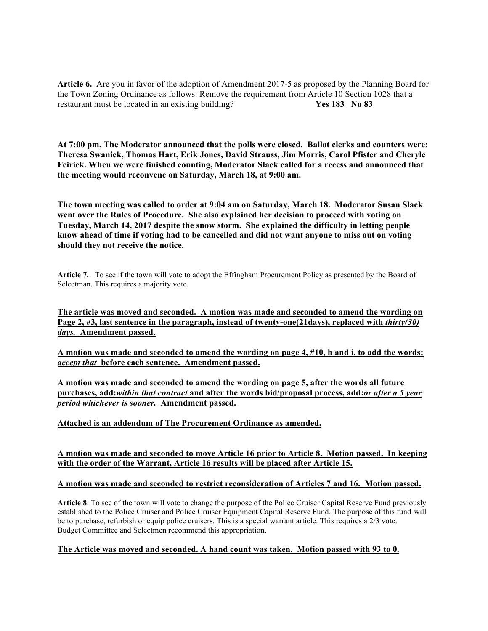**Article 6.** Are you in favor of the adoption of Amendment 2017-5 as proposed by the Planning Board for the Town Zoning Ordinance as follows: Remove the requirement from Article 10 Section 1028 that a restaurant must be located in an existing building? **Yes 183 No 83**

**At 7:00 pm, The Moderator announced that the polls were closed. Ballot clerks and counters were: Theresa Swanick, Thomas Hart, Erik Jones, David Strauss, Jim Morris, Carol Pfister and Cheryle Feirick. When we were finished counting, Moderator Slack called for a recess and announced that the meeting would reconvene on Saturday, March 18, at 9:00 am.**

**The town meeting was called to order at 9:04 am on Saturday, March 18. Moderator Susan Slack went over the Rules of Procedure. She also explained her decision to proceed with voting on Tuesday, March 14, 2017 despite the snow storm. She explained the difficulty in letting people know ahead of time if voting had to be cancelled and did not want anyone to miss out on voting should they not receive the notice.**

**Article 7.** To see if the town will vote to adopt the Effingham Procurement Policy as presented by the Board of Selectman. This requires a majority vote.

**The article was moved and seconded. A motion was made and seconded to amend the wording on Page 2, #3, last sentence in the paragraph, instead of twenty-one(21days), replaced with** *thirty(30) days.* **Amendment passed.**

**A motion was made and seconded to amend the wording on page 4, #10, h and i, to add the words:**  *accept that* **before each sentence. Amendment passed.**

**A motion was made and seconded to amend the wording on page 5, after the words all future purchases, add:***within that contract* **and after the words bid/proposal process, add:***or after a 5 year period whichever is sooner.* **Amendment passed.**

# **Attached is an addendum of The Procurement Ordinance as amended.**

# **A motion was made and seconded to move Article 16 prior to Article 8. Motion passed. In keeping with the order of the Warrant, Article 16 results will be placed after Article 15.**

# **A motion was made and seconded to restrict reconsideration of Articles 7 and 16. Motion passed.**

**Article 8**. To see of the town will vote to change the purpose of the Police Cruiser Capital Reserve Fund previously established to the Police Cruiser and Police Cruiser Equipment Capital Reserve Fund. The purpose of this fund will be to purchase, refurbish or equip police cruisers. This is a special warrant article. This requires a 2/3 vote. Budget Committee and Selectmen recommend this appropriation.

# **The Article was moved and seconded. A hand count was taken. Motion passed with 93 to 0.**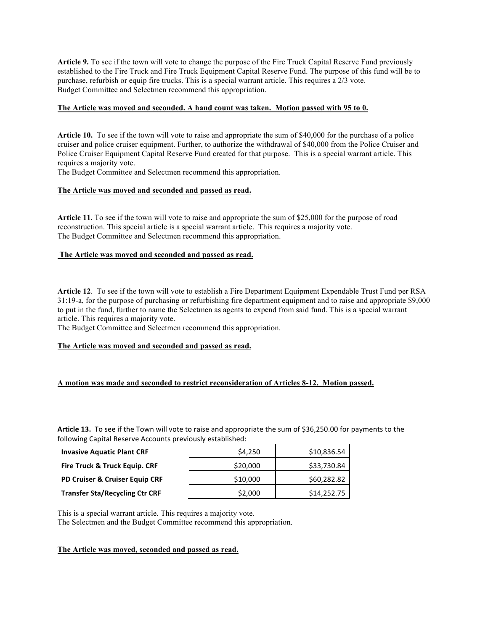**Article 9.** To see if the town will vote to change the purpose of the Fire Truck Capital Reserve Fund previously established to the Fire Truck and Fire Truck Equipment Capital Reserve Fund. The purpose of this fund will be to purchase, refurbish or equip fire trucks. This is a special warrant article. This requires a 2/3 vote. Budget Committee and Selectmen recommend this appropriation.

#### **The Article was moved and seconded. A hand count was taken. Motion passed with 95 to 0.**

**Article 10.** To see if the town will vote to raise and appropriate the sum of \$40,000 for the purchase of a police cruiser and police cruiser equipment. Further, to authorize the withdrawal of \$40,000 from the Police Cruiser and Police Cruiser Equipment Capital Reserve Fund created for that purpose. This is a special warrant article. This requires a majority vote.

The Budget Committee and Selectmen recommend this appropriation.

#### **The Article was moved and seconded and passed as read.**

**Article 11.** To see if the town will vote to raise and appropriate the sum of \$25,000 for the purpose of road reconstruction. This special article is a special warrant article. This requires a majority vote. The Budget Committee and Selectmen recommend this appropriation.

#### **The Article was moved and seconded and passed as read.**

**Article 12**. To see if the town will vote to establish a Fire Department Equipment Expendable Trust Fund per RSA 31:19-a, for the purpose of purchasing or refurbishing fire department equipment and to raise and appropriate \$9,000 to put in the fund, further to name the Selectmen as agents to expend from said fund. This is a special warrant article. This requires a majority vote.

The Budget Committee and Selectmen recommend this appropriation.

#### **The Article was moved and seconded and passed as read.**

# **A motion was made and seconded to restrict reconsideration of Articles 8-12. Motion passed.**

Article 13. To see if the Town will vote to raise and appropriate the sum of \$36,250.00 for payments to the following Capital Reserve Accounts previously established:

| <b>Invasive Aquatic Plant CRF</b>     | \$4.250  | \$10,836.54 |
|---------------------------------------|----------|-------------|
| Fire Truck & Truck Equip. CRF         | \$20,000 | \$33,730.84 |
| PD Cruiser & Cruiser Equip CRF        | \$10,000 | \$60,282.82 |
| <b>Transfer Sta/Recycling Ctr CRF</b> | \$2,000  | \$14,252.75 |

This is a special warrant article. This requires a majority vote.

The Selectmen and the Budget Committee recommend this appropriation.

#### **The Article was moved, seconded and passed as read.**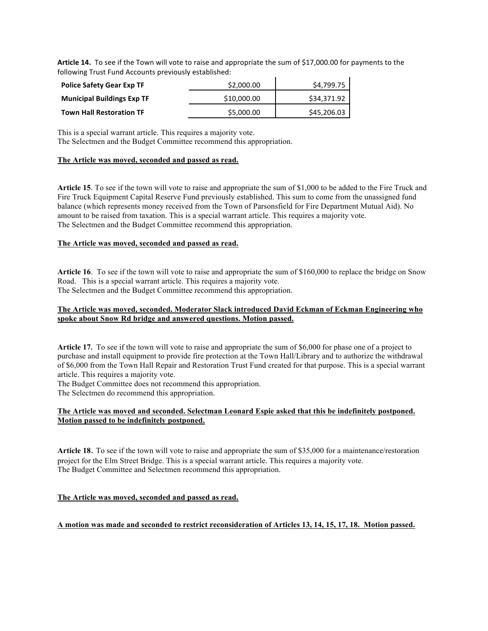**Article 14.** To see if the Town will vote to raise and appropriate the sum of \$17,000.00 for payments to the following Trust Fund Accounts previously established:

| <b>Police Safety Gear Exp TF</b>  | \$2,000.00  | \$4,799.75  |
|-----------------------------------|-------------|-------------|
| <b>Municipal Buildings Exp TF</b> | \$10,000.00 | \$34,371.92 |
| <b>Town Hall Restoration TF</b>   | \$5,000.00  | \$45,206.03 |

This is a special warrant article. This requires a majority vote.

The Selectmen and the Budget Committee recommend this appropriation.

# **The Article was moved, seconded and passed as read.**

**Article 15**. To see if the town will vote to raise and appropriate the sum of \$1,000 to be added to the Fire Truck and Fire Truck Equipment Capital Reserve Fund previously established. This sum to come from the unassigned fund balance (which represents money received from the Town of Parsonsfield for Fire Department Mutual Aid). No amount to be raised from taxation. This is a special warrant article. This requires a majority vote. The Selectmen and the Budget Committee recommend this appropriation.

# **The Article was moved, seconded and passed as read.**

**Article 16**. To see if the town will vote to raise and appropriate the sum of \$160,000 to replace the bridge on Snow Road. This is a special warrant article. This requires a majority vote. The Selectmen and the Budget Committee recommend this appropriation.

### **The Article was moved, seconded. Moderator Slack introduced David Eckman of Eckman Engineering who spoke about Snow Rd bridge and answered questions. Motion passed.**

**Article 17.** To see if the town will vote to raise and appropriate the sum of \$6,000 for phase one of a project to purchase and install equipment to provide fire protection at the Town Hall/Library and to authorize the withdrawal of \$6,000 from the Town Hall Repair and Restoration Trust Fund created for that purpose. This is a special warrant article. This requires a majority vote.

The Budget Committee does not recommend this appropriation.

The Selectmen do recommend this appropriation.

# **The Article was moved and seconded. Selectman Leonard Espie asked that this be indefinitely postponed. Motion passed to be indefinitely postponed.**

**Article 18**. To see if the town will vote to raise and appropriate the sum of \$35,000 for a maintenance/restoration project for the Elm Street Bridge. This is a special warrant article. This requires a majority vote. The Budget Committee and Selectmen recommend this appropriation.

# **The Article was moved, seconded and passed as read.**

# **A motion was made and seconded to restrict reconsideration of Articles 13, 14, 15, 17, 18. Motion passed.**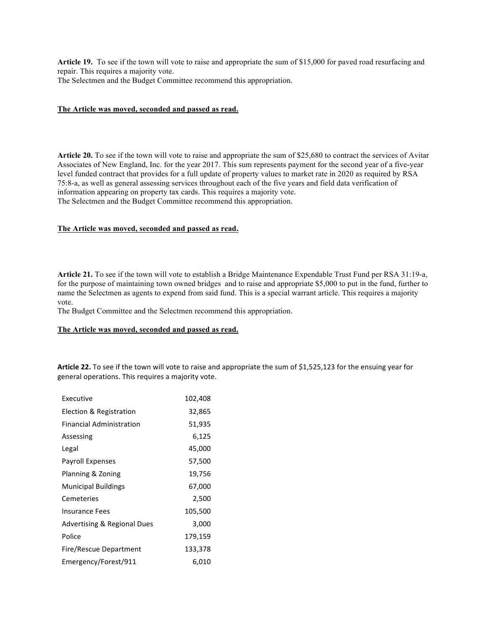**Article 19.** To see if the town will vote to raise and appropriate the sum of \$15,000 for paved road resurfacing and repair. This requires a majority vote.

The Selectmen and the Budget Committee recommend this appropriation.

#### **The Article was moved, seconded and passed as read.**

**Article 20.** To see if the town will vote to raise and appropriate the sum of \$25,680 to contract the services of Avitar Associates of New England, Inc. for the year 2017. This sum represents payment for the second year of a five-year level funded contract that provides for a full update of property values to market rate in 2020 as required by RSA 75:8-a, as well as general assessing services throughout each of the five years and field data verification of information appearing on property tax cards. This requires a majority vote. The Selectmen and the Budget Committee recommend this appropriation.

#### **The Article was moved, seconded and passed as read.**

**Article 21.** To see if the town will vote to establish a Bridge Maintenance Expendable Trust Fund per RSA 31:19-a, for the purpose of maintaining town owned bridges and to raise and appropriate \$5,000 to put in the fund, further to name the Selectmen as agents to expend from said fund. This is a special warrant article. This requires a majority vote.

The Budget Committee and the Selectmen recommend this appropriation.

#### **The Article was moved, seconded and passed as read.**

Article 22. To see if the town will vote to raise and appropriate the sum of \$1,525,123 for the ensuing year for general operations. This requires a majority vote.

| Executive                              | 102,408 |
|----------------------------------------|---------|
| Election & Registration                | 32,865  |
| <b>Financial Administration</b>        | 51,935  |
| Assessing                              | 6,125   |
| Legal                                  | 45,000  |
| <b>Payroll Expenses</b>                | 57,500  |
| Planning & Zoning                      | 19,756  |
| <b>Municipal Buildings</b>             | 67,000  |
| Cemeteries                             | 2,500   |
| Insurance Fees                         | 105,500 |
| <b>Advertising &amp; Regional Dues</b> | 3,000   |
| Police                                 | 179,159 |
| Fire/Rescue Department                 | 133,378 |
| Emergency/Forest/911                   | 6,010   |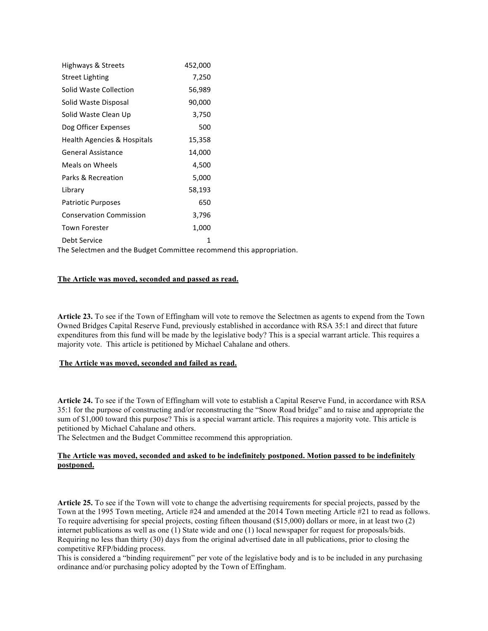| Highways & Streets                                                   | 452,000 |  |  |
|----------------------------------------------------------------------|---------|--|--|
| <b>Street Lighting</b>                                               | 7,250   |  |  |
| Solid Waste Collection                                               | 56,989  |  |  |
| Solid Waste Disposal                                                 | 90,000  |  |  |
| Solid Waste Clean Up                                                 | 3,750   |  |  |
| Dog Officer Expenses                                                 | 500     |  |  |
| Health Agencies & Hospitals                                          | 15,358  |  |  |
| <b>General Assistance</b>                                            | 14,000  |  |  |
| Meals on Wheels                                                      | 4,500   |  |  |
| Parks & Recreation                                                   | 5,000   |  |  |
| Library                                                              | 58,193  |  |  |
| <b>Patriotic Purposes</b>                                            | 650     |  |  |
| <b>Conservation Commission</b>                                       | 3,796   |  |  |
| <b>Town Forester</b>                                                 | 1,000   |  |  |
| Debt Service                                                         | 1       |  |  |
| The Selectmen and the Budget Committee recommend this appropriation. |         |  |  |

# **The Article was moved, seconded and passed as read.**

**Article 23.** To see if the Town of Effingham will vote to remove the Selectmen as agents to expend from the Town Owned Bridges Capital Reserve Fund, previously established in accordance with RSA 35:1 and direct that future expenditures from this fund will be made by the legislative body? This is a special warrant article. This requires a majority vote. This article is petitioned by Michael Cahalane and others.

#### **The Article was moved, seconded and failed as read.**

**Article 24.** To see if the Town of Effingham will vote to establish a Capital Reserve Fund, in accordance with RSA 35:1 for the purpose of constructing and/or reconstructing the "Snow Road bridge" and to raise and appropriate the sum of \$1,000 toward this purpose? This is a special warrant article. This requires a majority vote. This article is petitioned by Michael Cahalane and others.

The Selectmen and the Budget Committee recommend this appropriation.

#### **The Article was moved, seconded and asked to be indefinitely postponed. Motion passed to be indefinitely postponed.**

**Article 25.** To see if the Town will vote to change the advertising requirements for special projects, passed by the Town at the 1995 Town meeting, Article #24 and amended at the 2014 Town meeting Article #21 to read as follows. To require advertising for special projects, costing fifteen thousand (\$15,000) dollars or more, in at least two (2) internet publications as well as one (1) State wide and one (1) local newspaper for request for proposals/bids. Requiring no less than thirty (30) days from the original advertised date in all publications, prior to closing the competitive RFP/bidding process.

This is considered a "binding requirement" per vote of the legislative body and is to be included in any purchasing ordinance and/or purchasing policy adopted by the Town of Effingham.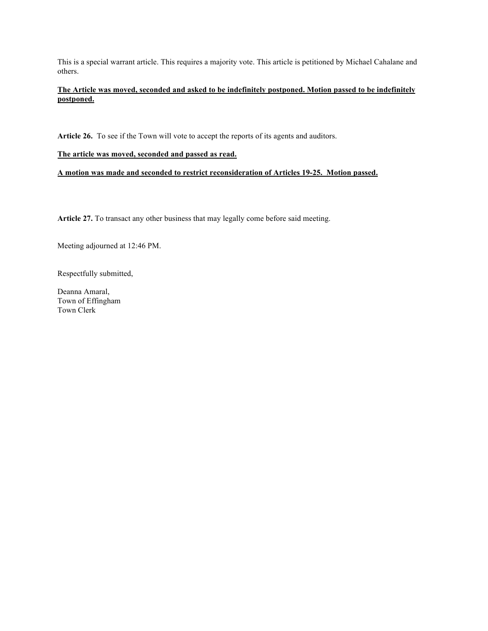This is a special warrant article. This requires a majority vote. This article is petitioned by Michael Cahalane and others.

# **The Article was moved, seconded and asked to be indefinitely postponed. Motion passed to be indefinitely postponed.**

**Article 26.** To see if the Town will vote to accept the reports of its agents and auditors.

# **The article was moved, seconded and passed as read.**

**A motion was made and seconded to restrict reconsideration of Articles 19-25. Motion passed.**

**Article 27.** To transact any other business that may legally come before said meeting.

Meeting adjourned at 12:46 PM.

Respectfully submitted,

Deanna Amaral, Town of Effingham Town Clerk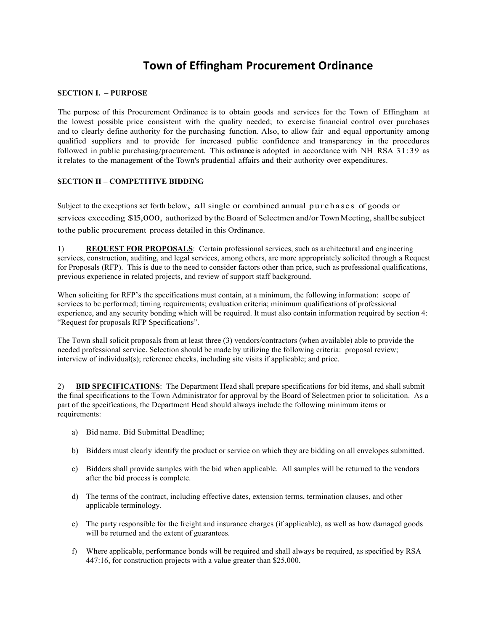# **Town of Effingham Procurement Ordinance**

#### **SECTION I. – PURPOSE**

The purpose of this Procurement Ordinance is to obtain goods and services for the Town of Effingham at the lowest possible price consistent with the quality needed; to exercise financial control over purchases and to clearly define authority for the purchasing function. Also, to allow fair and equal opportunity among qualified suppliers and to provide for increased public confidence and transparency in the procedures followed in public purchasing/procurement. This ordinance is adopted in accordance with NH RSA 31:39 as it relates to the management of the Town's prudential affairs and their authority over expenditures.

# **SECTION II – COMPETITIVE BIDDING**

Subject to the exceptions set forth below, all single or combined annual purchases of goods or services exceeding \$15,000, authorized by the Board of Selectmen and/or Town Meeting, shallbe subject tothe public procurement process detailed in this Ordinance.

1) **REQUEST FOR PROPOSALS**: Certain professional services, such as architectural and engineering services, construction, auditing, and legal services, among others, are more appropriately solicited through a Request for Proposals (RFP). This is due to the need to consider factors other than price, such as professional qualifications, previous experience in related projects, and review of support staff background.

When soliciting for RFP's the specifications must contain, at a minimum, the following information: scope of services to be performed; timing requirements; evaluation criteria; minimum qualifications of professional experience, and any security bonding which will be required. It must also contain information required by section 4: "Request for proposals RFP Specifications".

The Town shall solicit proposals from at least three (3) vendors/contractors (when available) able to provide the needed professional service. Selection should be made by utilizing the following criteria: proposal review; interview of individual(s); reference checks, including site visits if applicable; and price.

2) **BID SPECIFICATIONS**: The Department Head shall prepare specifications for bid items, and shall submit the final specifications to the Town Administrator for approval by the Board of Selectmen prior to solicitation. As a part of the specifications, the Department Head should always include the following minimum items or requirements:

- a) Bid name. Bid Submittal Deadline;
- b) Bidders must clearly identify the product or service on which they are bidding on all envelopes submitted.
- c) Bidders shall provide samples with the bid when applicable. All samples will be returned to the vendors after the bid process is complete.
- d) The terms of the contract, including effective dates, extension terms, termination clauses, and other applicable terminology.
- e) The party responsible for the freight and insurance charges (if applicable), as well as how damaged goods will be returned and the extent of guarantees.
- f) Where applicable, performance bonds will be required and shall always be required, as specified by RSA 447:16, for construction projects with a value greater than \$25,000.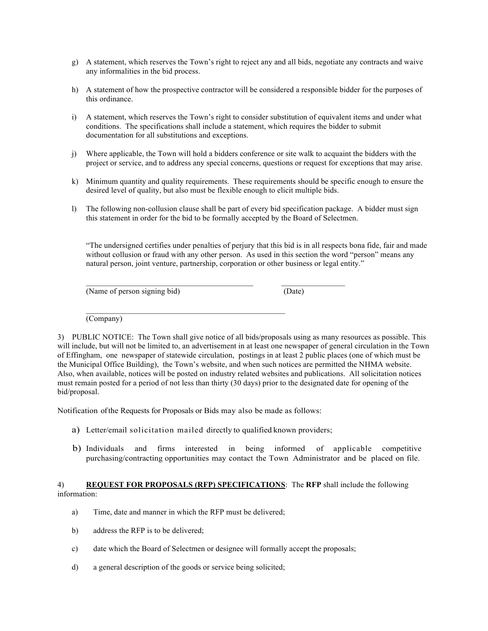- g) A statement, which reserves the Town's right to reject any and all bids, negotiate any contracts and waive any informalities in the bid process.
- h) A statement of how the prospective contractor will be considered a responsible bidder for the purposes of this ordinance.
- i) A statement, which reserves the Town's right to consider substitution of equivalent items and under what conditions. The specifications shall include a statement, which requires the bidder to submit documentation for all substitutions and exceptions.
- j) Where applicable, the Town will hold a bidders conference or site walk to acquaint the bidders with the project or service, and to address any special concerns, questions or request for exceptions that may arise.
- k) Minimum quantity and quality requirements. These requirements should be specific enough to ensure the desired level of quality, but also must be flexible enough to elicit multiple bids.
- l) The following non-collusion clause shall be part of every bid specification package. A bidder must sign this statement in order for the bid to be formally accepted by the Board of Selectmen.

"The undersigned certifies under penalties of perjury that this bid is in all respects bona fide, fair and made without collusion or fraud with any other person. As used in this section the word "person" means any natural person, joint venture, partnership, corporation or other business or legal entity."

(Name of person signing bid) (Date)

(Company)

3) PUBLIC NOTICE: The Town shall give notice of all bids/proposals using as many resources as possible. This will include, but will not be limited to, an advertisement in at least one newspaper of general circulation in the Town of Effingham, one newspaper of statewide circulation, postings in at least 2 public places (one of which must be the Municipal Office Building), the Town's website, and when such notices are permitted the NHMA website. Also, when available, notices will be posted on industry related websites and publications. All solicitation notices must remain posted for a period of not less than thirty (30 days) prior to the designated date for opening of the bid/proposal.

Notification ofthe Requests for Proposals or Bids may also be made as follows:

 $\mathcal{L}_\text{max}$  and the contract of the contract of the contract of the contract of the contract of the contract of the contract of the contract of the contract of the contract of the contract of the contract of the contrac

a) Letter/email solicitation mailed directly to qualified known providers;

 $\mathcal{L}_\text{max}$  and the contract of the contract of the contract of the contract of the contract of the contract of

b) Individuals and firms interested in being informed of applicable competitive purchasing/contracting opportunities may contact the Town Administrator and be placed on file.

### 4) **REQUEST FOR PROPOSALS (RFP) SPECIFICATIONS**: The **RFP** shall include the following information:

- a) Time, date and manner in which the RFP must be delivered;
- b) address the RFP is to be delivered;
- c) date which the Board of Selectmen or designee will formally accept the proposals;
- d) a general description of the goods or service being solicited;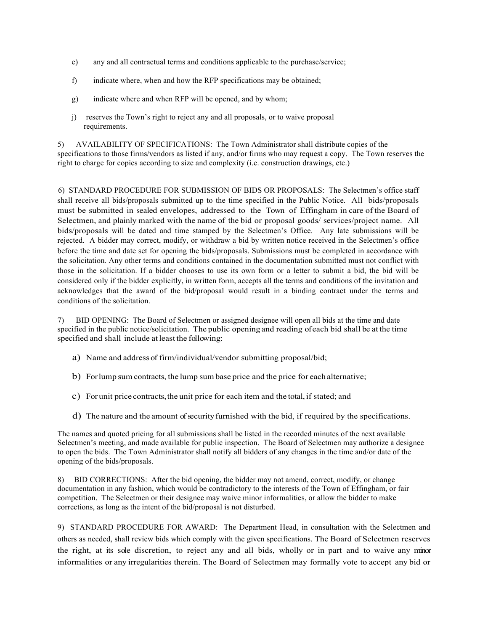- e) any and all contractual terms and conditions applicable to the purchase/service;
- f) indicate where, when and how the RFP specifications may be obtained;
- g) indicate where and when RFP will be opened, and by whom;
- j) reserves the Town's right to reject any and all proposals, or to waive proposal requirements.

5) AVAILABILITY OF SPECIFICATIONS: The Town Administrator shall distribute copies of the specifications to those firms/vendors as listed if any, and/or firms who may request a copy. The Town reserves the right to charge for copies according to size and complexity (i.e. construction drawings, etc.)

6) STANDARD PROCEDURE FOR SUBMISSION OF BIDS OR PROPOSALS: The Selectmen's office staff shall receive all bids/proposals submitted up to the time specified in the Public Notice. All bids/proposals must be submitted in sealed envelopes, addressed to the Town of Effingham in care of the Board of Selectmen, and plainly marked with the name of the bid or proposal goods/ services/project name. All bids/proposals will be dated and time stamped by the Selectmen's Office. Any late submissions will be rejected. A bidder may correct, modify, or withdraw a bid by written notice received in the Selectmen's office before the time and date set for opening the bids/proposals. Submissions must be completed in accordance with the solicitation. Any other terms and conditions contained in the documentation submitted must not conflict with those in the solicitation. If a bidder chooses to use its own form or a letter to submit a bid, the bid will be considered only if the bidder explicitly, in written form, accepts all the terms and conditions of the invitation and acknowledges that the award of the bid/proposal would result in a binding contract under the terms and conditions of the solicitation.

7) BID OPENING: The Board of Selectmen or assigned designee will open all bids at the time and date specified in the public notice/solicitation. The public opening and reading ofeach bid shall be at the time specified and shall include at least the following:

- a) Name and address of firm/individual/vendor submitting proposal/bid;
- b) Forlump sum contracts, the lump sum base price and the price for each alternative;
- c) For unit price contracts,the unit price for each item and the total,if stated; and
- d) The nature and the amount of security furnished with the bid, if required by the specifications.

The names and quoted pricing for all submissions shall be listed in the recorded minutes of the next available Selectmen's meeting, and made available for public inspection. The Board of Selectmen may authorize a designee to open the bids. The Town Administrator shall notify all bidders of any changes in the time and/or date of the opening of the bids/proposals.

8) BID CORRECTIONS: After the bid opening, the bidder may not amend, correct, modify, or change documentation in any fashion, which would be contradictory to the interests of the Town of Effingham, or fair competition. The Selectmen or their designee may waive minor informalities, or allow the bidder to make corrections, as long as the intent of the bid/proposal is not disturbed.

9) STANDARD PROCEDURE FOR AWARD: The Department Head, in consultation with the Selectmen and others as needed, shall review bids which comply with the given specifications. The Board of Selectmen reserves the right, at its sole discretion, to reject any and all bids, wholly or in part and to waive any minor informalities or any irregularities therein. The Board of Selectmen may formally vote to accept any bid or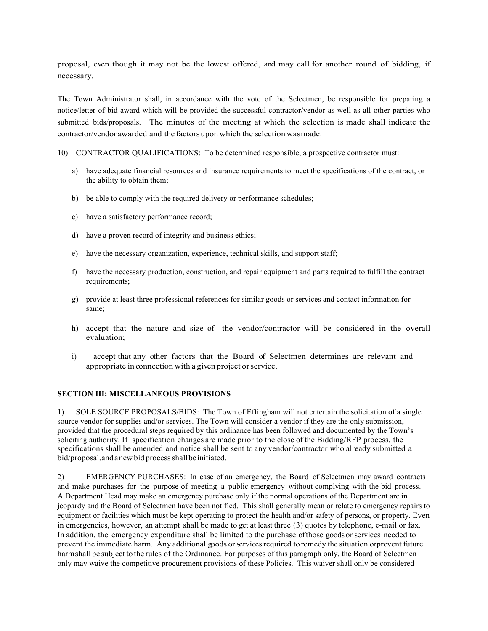proposal, even though it may not be the lowest offered, and may call for another round of bidding, if necessary.

The Town Administrator shall, in accordance with the vote of the Selectmen, be responsible for preparing a notice/letter of bid award which will be provided the successful contractor/vendor as well as all other parties who submitted bids/proposals. The minutes of the meeting at which the selection is made shall indicate the contractor/vendor awarded and the factors upon which the selection wasmade.

- 10) CONTRACTOR QUALIFICATIONS: To be determined responsible, a prospective contractor must:
	- a) have adequate financial resources and insurance requirements to meet the specifications of the contract, or the ability to obtain them;
	- b) be able to comply with the required delivery or performance schedules;
	- c) have a satisfactory performance record;
	- d) have a proven record of integrity and business ethics;
	- e) have the necessary organization, experience, technical skills, and support staff;
	- f) have the necessary production, construction, and repair equipment and parts required to fulfill the contract requirements;
	- g) provide at least three professional references for similar goods or services and contact information for same;
	- h) accept that the nature and size of the vendor/contractor will be considered in the overall evaluation;
	- i) accept that any other factors that the Board of Selectmen determines are relevant and appropriate in connection with a given project orservice.

#### **SECTION III: MISCELLANEOUS PROVISIONS**

1) SOLE SOURCE PROPOSALS/BIDS: The Town of Effingham will not entertain the solicitation of a single source vendor for supplies and/or services. The Town will consider a vendor if they are the only submission, provided that the procedural steps required by this ordinance has been followed and documented by the Town's soliciting authority. If specification changes are made prior to the close of the Bidding/RFP process, the specifications shall be amended and notice shall be sent to any vendor/contractor who already submitted a bid/proposal, and a new bid process shall be initiated.

2) EMERGENCY PURCHASES: In case of an emergency, the Board of Selectmen may award contracts and make purchases for the purpose of meeting a public emergency without complying with the bid process. A Department Head may make an emergency purchase only if the normal operations of the Department are in jeopardy and the Board of Selectmen have been notified. This shall generally mean or relate to emergency repairs to equipment or facilities which must be kept operating to protect the health and/or safety of persons, or property. Even in emergencies, however, an attempt shall be made to get at least three (3) quotes by telephone, e-mail or fax. In addition, the emergency expenditure shall be limited to the purchase ofthose goods or services needed to prevent the immediate harm. Any additional goods orservicesrequired to remedy the situation orprevent future harmshall be subject to the rules of the Ordinance. For purposes of this paragraph only, the Board of Selectmen only may waive the competitive procurement provisions of these Policies. This waiver shall only be considered